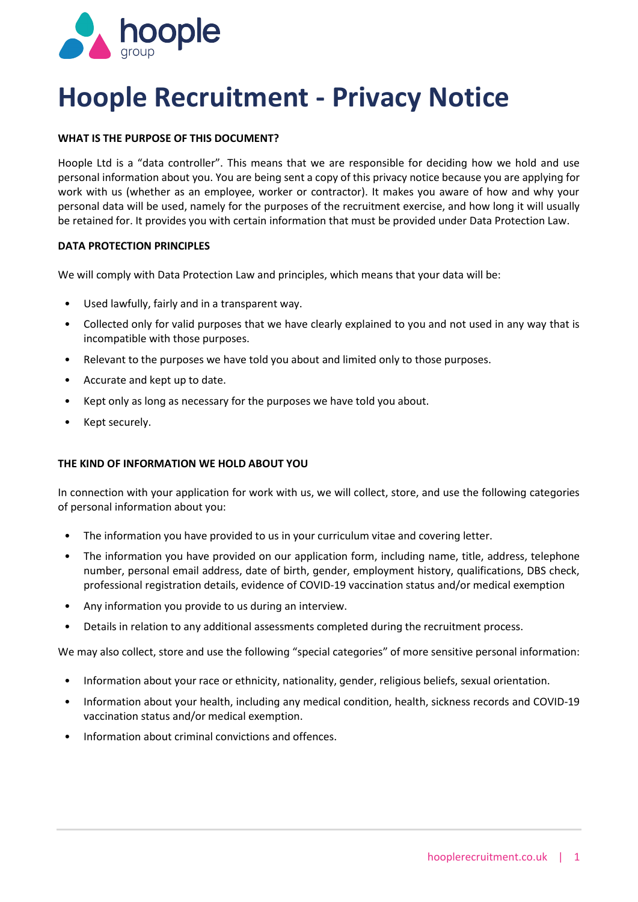

# **Hoople Recruitment - Privacy Notice**

# **WHAT IS THE PURPOSE OF THIS DOCUMENT?**

 Hoople Ltd is a "data controller". This means that we are responsible for deciding how we hold and use personal information about you. You are being sent a copy of this privacy notice because you are applying for personal data will be used, namely for the purposes of the recruitment exercise, and how long it will usually be retained for. It provides you with certain information that must be provided under Data Protection Law. work with us (whether as an employee, worker or contractor). It makes you aware of how and why your

## **DATA PROTECTION PRINCIPLES**

We will comply with Data Protection Law and principles, which means that your data will be:

- Used lawfully, fairly and in a transparent way.
- • Collected only for valid purposes that we have clearly explained to you and not used in any way that is incompatible with those purposes.
- Relevant to the purposes we have told you about and limited only to those purposes.
- Accurate and kept up to date.
- Kept only as long as necessary for the purposes we have told you about.
- Kept securely.

# **THE KIND OF INFORMATION WE HOLD ABOUT YOU**

 In connection with your application for work with us, we will collect, store, and use the following categories of personal information about you:

- The information you have provided to us in your curriculum vitae and covering letter.
- • The information you have provided on our application form, including name, title, address, telephone number, personal email address, date of birth, gender, employment history, qualifications, DBS check, professional registration details, evidence of COVID-19 vaccination status and/or medical exemption
- Any information you provide to us during an interview.
- Details in relation to any additional assessments completed during the recruitment process.

We may also collect, store and use the following "special categories" of more sensitive personal information:

- Information about your race or ethnicity, nationality, gender, religious beliefs, sexual orientation.
- • Information about your health, including any medical condition, health, sickness records and COVID-19 vaccination status and/or medical exemption.
- Information about criminal convictions and offences.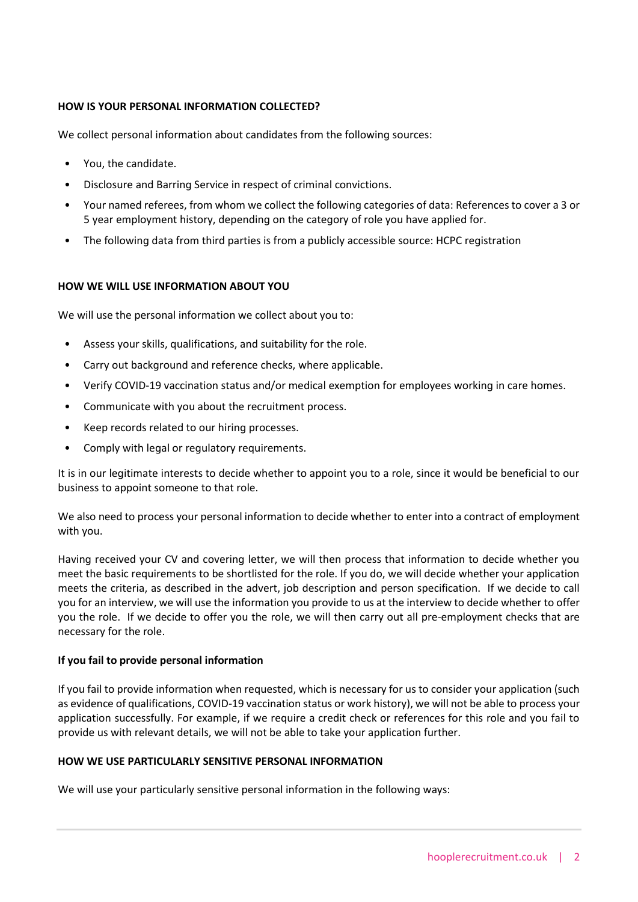# **HOW IS YOUR PERSONAL INFORMATION COLLECTED?**

We collect personal information about candidates from the following sources:

- You, the candidate.
- Disclosure and Barring Service in respect of criminal convictions.
- • Your named referees, from whom we collect the following categories of data: References to cover a 3 or 5 year employment history, depending on the category of role you have applied for.
- The following data from third parties is from a publicly accessible source: HCPC registration

# **HOW WE WILL USE INFORMATION ABOUT YOU**

We will use the personal information we collect about you to:

- Assess your skills, qualifications, and suitability for the role.
- Carry out background and reference checks, where applicable.
- Verify COVID-19 vaccination status and/or medical exemption for employees working in care homes.
- Communicate with you about the recruitment process.
- Keep records related to our hiring processes.
- Comply with legal or regulatory requirements.

 It is in our legitimate interests to decide whether to appoint you to a role, since it would be beneficial to our business to appoint someone to that role.

 We also need to process your personal information to decide whether to enter into a contract of employment with you.

 Having received your CV and covering letter, we will then process that information to decide whether you meets the criteria, as described in the advert, job description and person specification. If we decide to call you for an interview, we will use the information you provide to us at the interview to decide whether to offer you the role. If we decide to offer you the role, we will then carry out all pre-employment checks that are meet the basic requirements to be shortlisted for the role. If you do, we will decide whether your application necessary for the role.

## **If you fail to provide personal information**

 If you fail to provide information when requested, which is necessary for us to consider your application (such as evidence of qualifications, COVID-19 vaccination status or work history), we will not be able to process your application successfully. For example, if we require a credit check or references for this role and you fail to provide us with relevant details, we will not be able to take your application further.

## **HOW WE USE PARTICULARLY SENSITIVE PERSONAL INFORMATION**

We will use your particularly sensitive personal information in the following ways: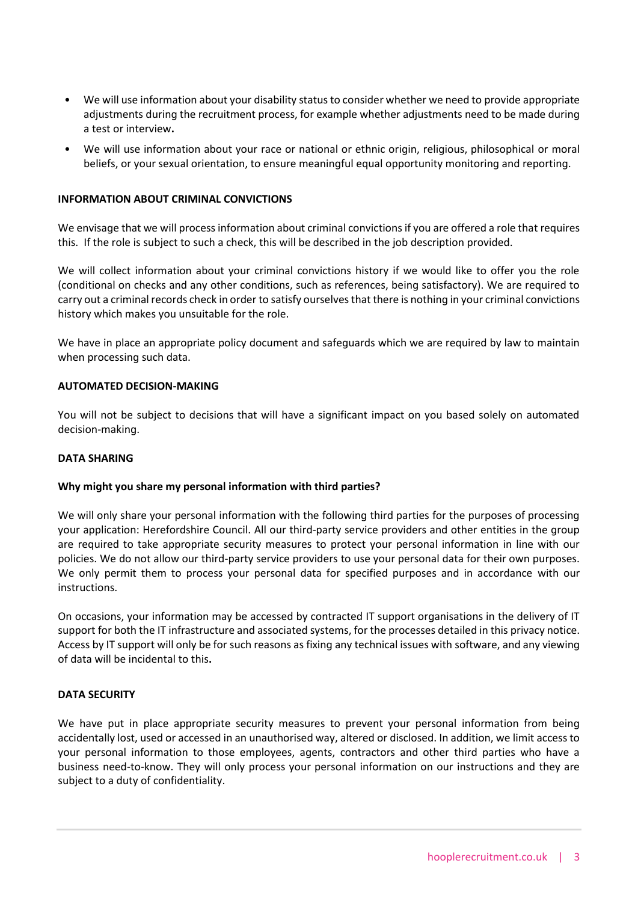- • We will use information about your disability status to consider whether we need to provide appropriate adjustments during the recruitment process, for example whether adjustments need to be made during a test or interview**.**
- We will use information about your race or national or ethnic origin, religious, philosophical or moral beliefs, or your sexual orientation, to ensure meaningful equal opportunity monitoring and reporting.

## **INFORMATION ABOUT CRIMINAL CONVICTIONS**

 We envisage that we will process information about criminal convictions if you are offered a role that requires this. If the role is subject to such a check, this will be described in the job description provided.

 We will collect information about your criminal convictions history if we would like to offer you the role (conditional on checks and any other conditions, such as references, being satisfactory). We are required to carry out a criminal records check in order to satisfy ourselves that there is nothing in your criminal convictions history which makes you unsuitable for the role.

 We have in place an appropriate policy document and safeguards which we are required by law to maintain when processing such data.

## **AUTOMATED DECISION-MAKING**

 You will not be subject to decisions that will have a significant impact on you based solely on automated decision-making.

### **DATA SHARING**

#### **Why might you share my personal information with third parties?**

 We will only share your personal information with the following third parties for the purposes of processing your application: Herefordshire Council. All our third-party service providers and other entities in the group are required to take appropriate security measures to protect your personal information in line with our policies. We do not allow our third-party service providers to use your personal data for their own purposes. We only permit them to process your personal data for specified purposes and in accordance with our instructions.

 On occasions, your information may be accessed by contracted IT support organisations in the delivery of IT support for both the IT infrastructure and associated systems, for the processes detailed in this privacy notice. Access by IT support will only be for such reasons as fixing any technical issues with software, and any viewing of data will be incidental to this**.**

#### **DATA SECURITY**

 We have put in place appropriate security measures to prevent your personal information from being accidentally lost, used or accessed in an unauthorised way, altered or disclosed. In addition, we limit access to your personal information to those employees, agents, contractors and other third parties who have a business need-to-know. They will only process your personal information on our instructions and they are subject to a duty of confidentiality.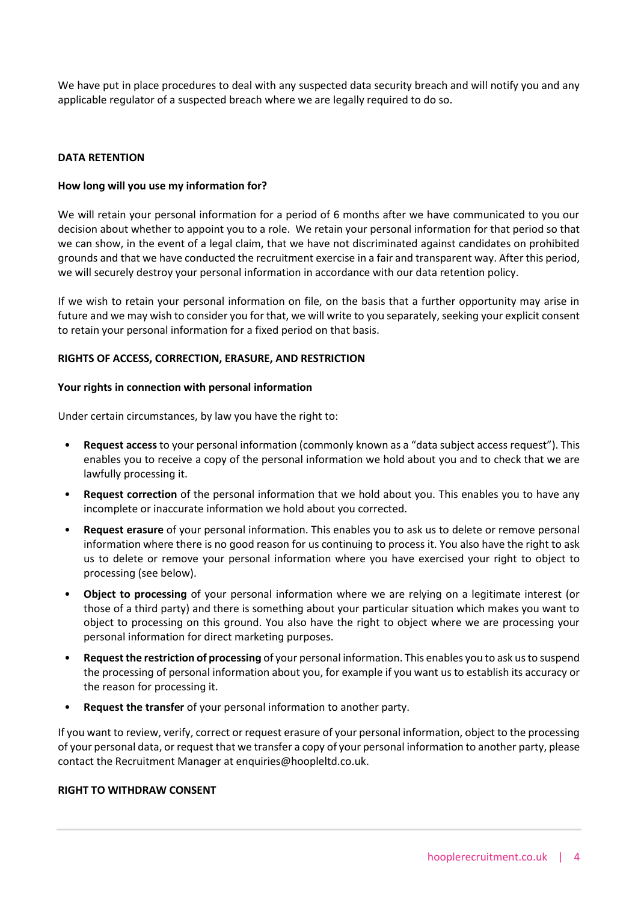We have put in place procedures to deal with any suspected data security breach and will notify you and any applicable regulator of a suspected breach where we are legally required to do so.

### **DATA RETENTION**

## **How long will you use my information for?**

 We will retain your personal information for a period of 6 months after we have communicated to you our decision about whether to appoint you to a role. We retain your personal information for that period so that we can show, in the event of a legal claim, that we have not discriminated against candidates on prohibited grounds and that we have conducted the recruitment exercise in a fair and transparent way. After this period, we will securely destroy your personal information in accordance with our data retention policy.

 If we wish to retain your personal information on file, on the basis that a further opportunity may arise in future and we may wish to consider you for that, we will write to you separately, seeking your explicit consent to retain your personal information for a fixed period on that basis.

## **RIGHTS OF ACCESS, CORRECTION, ERASURE, AND RESTRICTION**

#### **Your rights in connection with personal information**

Under certain circumstances, by law you have the right to:

- enables you to receive a copy of the personal information we hold about you and to check that we are • **Request access** to your personal information (commonly known as a "data subject access request"). This lawfully processing it.
- • **Request correction** of the personal information that we hold about you. This enables you to have any incomplete or inaccurate information we hold about you corrected.
- • **Request erasure** of your personal information. This enables you to ask us to delete or remove personal information where there is no good reason for us continuing to process it. You also have the right to ask us to delete or remove your personal information where you have exercised your right to object to processing (see below).
- **Object to processing** of your personal information where we are relying on a legitimate interest (or those of a third party) and there is something about your particular situation which makes you want to object to processing on this ground. You also have the right to object where we are processing your personal information for direct marketing purposes.
- **Request the restriction of processing** of your personal information. This enables you to ask us to suspend the processing of personal information about you, for example if you want us to establish its accuracy or the reason for processing it.
- **Request the transfer** of your personal information to another party.

 If you want to review, verify, correct or request erasure of your personal information, object to the processing of your personal data, or request that we transfer a copy of your personal information to another party, please contact the Recruitment Manager at [enquiries@hoopleltd.co.uk.](mailto:enquiries@hoopleltd.co.uk)

#### **RIGHT TO WITHDRAW CONSENT**